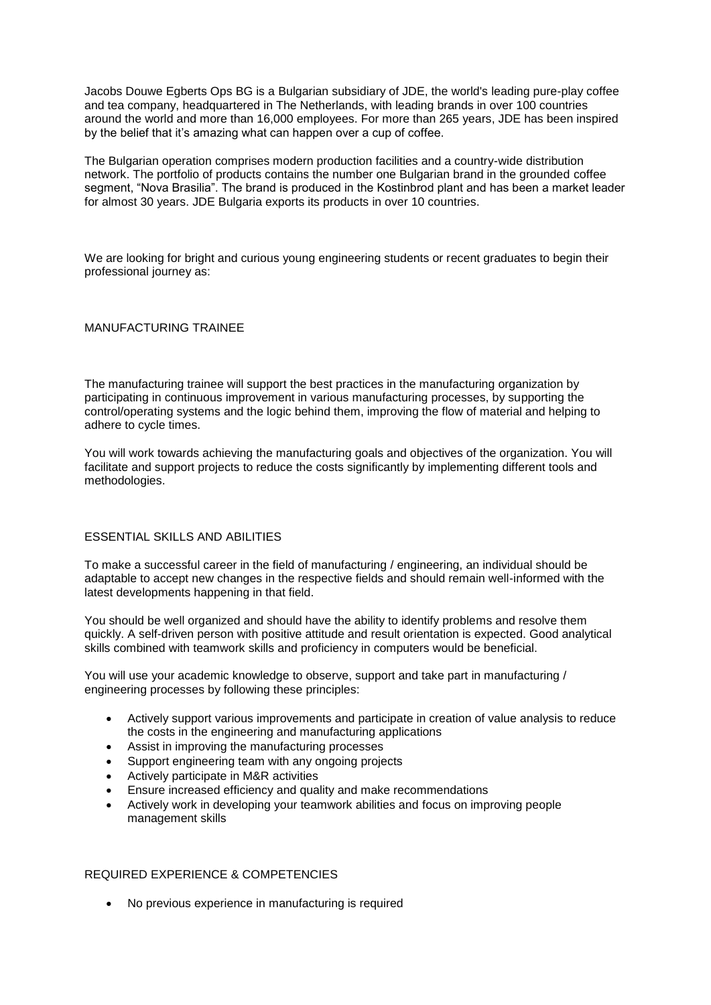Jacobs Douwe Egberts Ops BG is a Bulgarian subsidiary of JDE, the world's leading pure-play coffee and tea company, headquartered in The Netherlands, with leading brands in over 100 countries around the world and more than 16,000 employees. For more than 265 years, JDE has been inspired by the belief that it's amazing what can happen over a cup of coffee.

The Bulgarian operation comprises modern production facilities and a country-wide distribution network. The portfolio of products contains the number one Bulgarian brand in the grounded coffee segment, "Nova Brasilia". The brand is produced in the Kostinbrod plant and has been a market leader for almost 30 years. JDE Bulgaria exports its products in over 10 countries.

We are looking for bright and curious young engineering students or recent graduates to begin their professional journey as:

## MANUFACTURING TRAINEE

The manufacturing trainee will support the best practices in the manufacturing organization by participating in continuous improvement in various manufacturing processes, by supporting the control/operating systems and the logic behind them, improving the flow of material and helping to adhere to cycle times.

You will work towards achieving the manufacturing goals and objectives of the organization. You will facilitate and support projects to reduce the costs significantly by implementing different tools and methodologies.

## ESSENTIAL SKILLS AND ABILITIES

To make a successful career in the field of manufacturing / engineering, an individual should be adaptable to accept new changes in the respective fields and should remain well-informed with the latest developments happening in that field.

You should be well organized and should have the ability to identify problems and resolve them quickly. A self-driven person with positive attitude and result orientation is expected. Good analytical skills combined with teamwork skills and proficiency in computers would be beneficial.

You will use your academic knowledge to observe, support and take part in manufacturing / engineering processes by following these principles:

- Actively support various improvements and participate in creation of value analysis to reduce the costs in the engineering and manufacturing applications
- Assist in improving the manufacturing processes
- Support engineering team with any ongoing projects
- Actively participate in M&R activities
- Ensure increased efficiency and quality and make recommendations
- Actively work in developing your teamwork abilities and focus on improving people management skills

## REQUIRED EXPERIENCE & COMPETENCIES

No previous experience in manufacturing is required